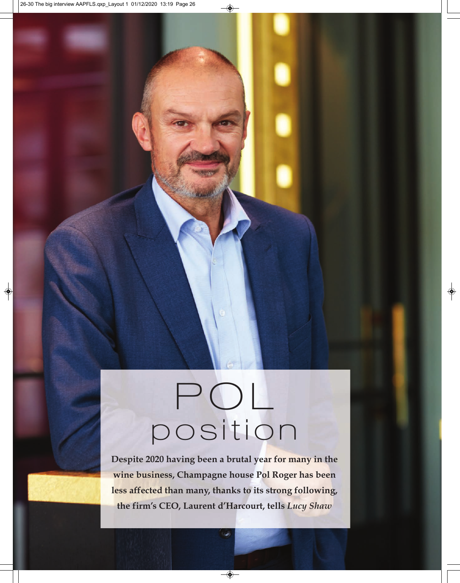# POL position

**Despite 2020 having been a brutal year for many in the wine business, Champagne house Pol Roger has been less affected than many, thanks to its strong following, the firm's CEO, Laurent d'Harcourt, tells** *Lucy Shaw*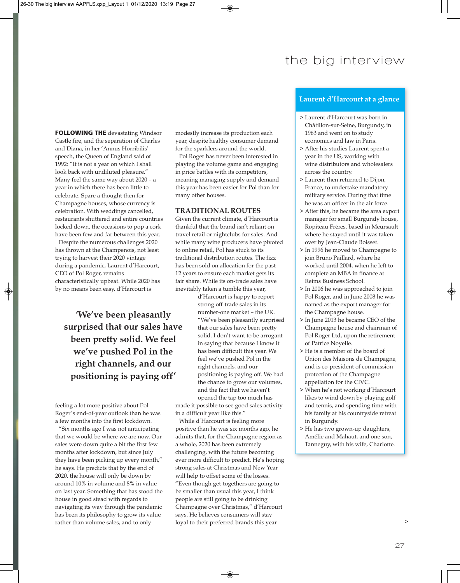## the big interview

**FOLLOWING THE devastating Windsor** Castle fire, and the separation of Charles and Diana, in her 'Annus Horribilis' speech, the Queen of England said of 1992: "It is not a year on which I shall look back with undiluted pleasure." Many feel the same way about 2020 – a year in which there has been little to celebrate. Spare a thought then for Champagne houses, whose currency is celebration. With weddings cancelled, restaurants shuttered and entire countries locked down, the occasions to pop a cork have been few and far between this year.

Despite the numerous challenges 2020 has thrown at the Champenois, not least trying to harvest their 2020 vintage during a pandemic, Laurent d'Harcourt, CEO of Pol Roger, remains characteristically upbeat. While 2020 has by no means been easy, d'Harcourt is

**'We've been pleasantly surprised that our sales have been pretty solid. We feel we've pushed Pol in the right channels, and our positioning is paying off'**

feeling a lot more positive about Pol Roger's end-of-year outlook than he was a few months into the first lockdown.

"Six months ago I was not anticipating that we would be where we are now. Our sales were down quite a bit the first few months after lockdown, but since July they have been picking up every month," he says. He predicts that by the end of 2020, the house will only be down by around 10% in volume and 8% in value on last year. Something that has stood the house in good stead with regards to navigating its way through the pandemic has been its philosophy to grow its value rather than volume sales, and to only

modestly increase its production each year, despite healthy consumer demand for the sparklers around the world.

Pol Roger has never been interested in playing the volume game and engaging in price battles with its competitors, meaning managing supply and demand this year has been easier for Pol than for many other houses.

### **TRADITIONAL ROUTES**

Given the current climate, d'Harcourt is thankful that the brand isn't reliant on travel retail or nightclubs for sales. And while many wine producers have pivoted to online retail, Pol has stuck to its traditional distribution routes. The fizz has been sold on allocation for the past 12 years to ensure each market gets its fair share. While its on-trade sales have inevitably taken a tumble this year,

d'Harcourt is happy to report strong off-trade sales in its number-one market – the UK. "We've been pleasantly surprised that our sales have been pretty solid. I don't want to be arrogant in saying that because I know it has been difficult this year. We feel we've pushed Pol in the right channels, and our positioning is paying off. We had the chance to grow our volumes, and the fact that we haven't opened the tap too much has made it possible to see good sales activity

in a difficult year like this."

While d'Harcourt is feeling more positive than he was six months ago, he admits that, for the Champagne region as a whole, 2020 has been extremely challenging, with the future becoming ever more difficult to predict. He's hoping strong sales at Christmas and New Year will help to offset some of the losses. "Even though get-togethers are going to be smaller than usual this year, I think people are still going to be drinking Champagne over Christmas," d'Harcourt says. He believes consumers will stay loyal to their preferred brands this year

### **Laurent d'Harcourt at a glance**

- > Laurent d'Harcourt was born in Châtillon-sur-Seine, Burgundy, in 1963 and went on to study economics and law in Paris.
- > After his studies Laurent spent a year in the US, working with wine distributors and wholesalers across the country.
- > Laurent then returned to Dijon, France, to undertake mandatory military service. During that time he was an officer in the air force.
- > After this, he became the area export manager for small Burgundy house, Ropiteau Frères, based in Meursault where he stayed until it was taken over by Jean-Claude Boisset.
- > In 1996 he moved to Champagne to join Bruno Paillard, where he worked until 2004, when he left to complete an MBA in finance at Reims Business School.
- > In 2006 he was approached to join Pol Roger, and in June 2008 he was named as the export manager for the Champagne house.
- > In June 2013 he became CEO of the Champagne house and chairman of Pol Roger Ltd, upon the retirement of Patrice Noyelle.
- > He is a member of the board of Union des Maisons de Champagne, and is co-president of commission protection of the Champagne appellation for the CIVC.
- > When he's not working d'Harcourt likes to wind down by playing golf and tennis, and spending time with his family at his countryside retreat in Burgundy.
- > He has two grown-up daughters, Amélie and Mahaut, and one son, Tanneguy, with his wife, Charlotte.

>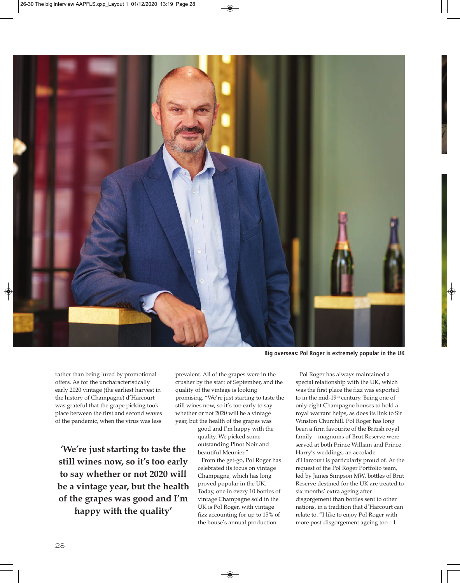

**Big overseas: Pol Roger is extremely popular in the UK**

rather than being lured by promotional offers. As for the uncharacteristically early 2020 vintage (the earliest harvest in the history of Champagne) d'Harcourt was grateful that the grape picking took place between the first and second waves of the pandemic, when the virus was less

**'We're just starting to taste the still wines now, so it's too early to say whether or not 2020 will be a vintage year, but the health of the grapes was good and I'm happy with the quality'**

prevalent. All of the grapes were in the crusher by the start of September, and the quality of the vintage is looking promising. "We're just starting to taste the still wines now, so it's too early to say whether or not 2020 will be a vintage year, but the health of the grapes was

good and I'm happy with the quality. We picked some outstanding Pinot Noir and beautiful Meunier."

From the get-go, Pol Roger has celebrated its focus on vintage Champagne, which has long proved popular in the UK. Today, one in every 10 bottles of vintage Champagne sold in the UK is Pol Roger, with vintage fizz accounting for up to 15% of the house's annual production.

Pol Roger has always maintained a special relationship with the UK, which was the first place the fizz was exported to in the mid-19<sup>th</sup> century. Being one of only eight Champagne houses to hold a royal warrant helps, as does its link to Sir Winston Churchill. Pol Roger has long been a firm favourite of the British royal family – magnums of Brut Reserve were served at both Prince William and Prince Harry's weddings, an accolade d'Harcourt is particularly proud of. At the request of the Pol Roger Portfolio team, led by James Simpson MW, bottles of Brut Reserve destined for the UK are treated to six months' extra ageing after disgorgement than bottles sent to other nations, in a tradition that d'Harcourt can relate to. "I like to enjoy Pol Roger with more post-disgorgement ageing too – I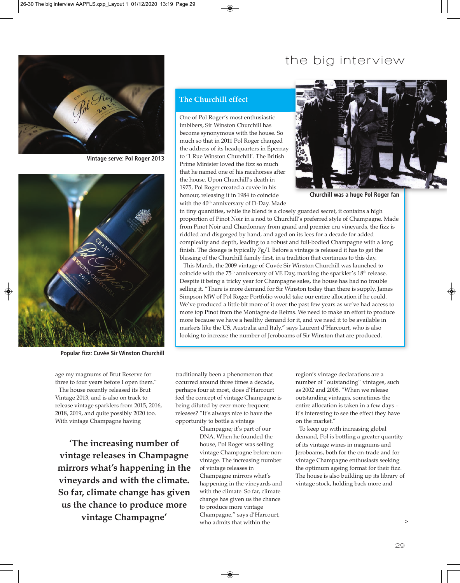## the big interview



**Vintage serve: Pol Roger 2013**



**Popular fizz: Cuvée Sir Winston Churchill**

age my magnums of Brut Reserve for three to four years before I open them." The house recently released its Brut Vintage 2013, and is also on track to release vintage sparklers from 2015, 2016, 2018, 2019, and quite possibly 2020 too. With vintage Champagne having

**'The increasing number of vintage releases in Champagne mirrors what's happening in the vineyards and with the climate. So far, climate change has given us the chance to produce more vintage Champagne'**

## **The Churchill effect**

One of Pol Roger's most enthusiastic imbibers, Sir Winston Churchill has become synonymous with the house. So much so that in 2011 Pol Roger changed the address of its headquarters in Épernay to '1 Rue Winston Churchill'. The British Prime Minister loved the fizz so much that he named one of his racehorses after the house. Upon Churchill's death in 1975, Pol Roger created a cuvée in his honour, releasing it in 1984 to coincide with the 40<sup>th</sup> anniversary of D-Day. Made



**Churchill was a huge Pol Roger fan**

in tiny quantities, while the blend is a closely guarded secret, it contains a high proportion of Pinot Noir in a nod to Churchill's preferred style of Champagne. Made from Pinot Noir and Chardonnay from grand and premier cru vineyards, the fizz is riddled and disgorged by hand, and aged on its lees for a decade for added complexity and depth, leading to a robust and full-bodied Champagne with a long finish. The dosage is typically 7g/l. Before a vintage is released it has to get the blessing of the Churchill family first, in a tradition that continues to this day.

This March, the 2009 vintage of Cuvée Sir Winston Churchill was launched to coincide with the 75<sup>th</sup> anniversary of VE Day, marking the sparkler's 18<sup>th</sup> release. Despite it being a tricky year for Champagne sales, the house has had no trouble selling it. "There is more demand for Sir Winston today than there is supply. James Simpson MW of Pol Roger Portfolio would take our entire allocation if he could. We've produced a little bit more of it over the past few years as we've had access to more top Pinot from the Montagne de Reims. We need to make an effort to produce more because we have a healthy demand for it, and we need it to be available in markets like the US, Australia and Italy," says Laurent d'Harcourt, who is also looking to increase the number of Jeroboams of Sir Winston that are produced.

traditionally been a phenomenon that occurred around three times a decade, perhaps four at most, does d'Harcourt feel the concept of vintage Champagne is being diluted by ever-more frequent releases? "It's always nice to have the opportunity to bottle a vintage

> Champagne; it's part of our DNA. When he founded the house, Pol Roger was selling vintage Champagne before nonvintage. The increasing number of vintage releases in Champagne mirrors what's happening in the vineyards and with the climate. So far, climate change has given us the chance to produce more vintage Champagne," says d'Harcourt, who admits that within the

region's vintage declarations are a number of "outstanding" vintages, such as 2002 and 2008. "When we release outstanding vintages, sometimes the entire allocation is taken in a few days – it's interesting to see the effect they have on the market."

To keep up with increasing global demand, Pol is bottling a greater quantity of its vintage wines in magnums and Jeroboams, both for the on-trade and for vintage Champagne enthusiasts seeking the optimum ageing format for their fizz. The house is also building up its library of vintage stock, holding back more and

>